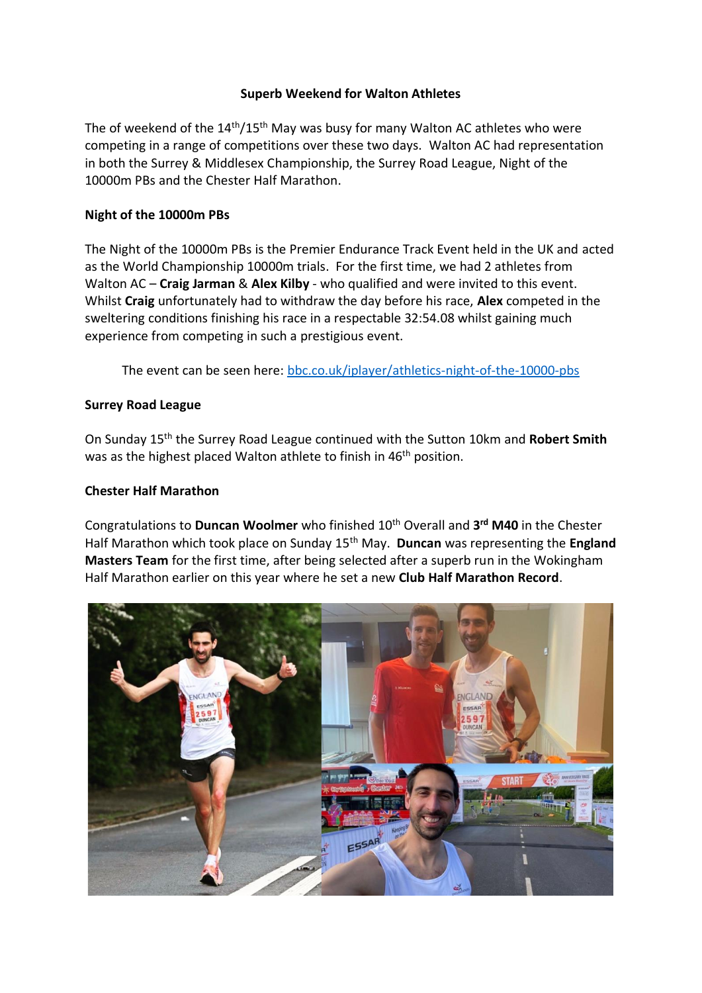# **Superb Weekend for Walton Athletes**

The of weekend of the 14th/15th May was busy for many Walton AC athletes who were competing in a range of competitions over these two days. Walton AC had representation in both the Surrey & Middlesex Championship, the Surrey Road League, Night of the 10000m PBs and the Chester Half Marathon.

#### **Night of the 10000m PBs**

The Night of the 10000m PBs is the Premier Endurance Track Event held in the UK and acted as the World Championship 10000m trials. For the first time, we had 2 athletes from Walton AC – **Craig Jarman** & **Alex Kilby** - who qualified and were invited to this event. Whilst **Craig** unfortunately had to withdraw the day before his race, **Alex** competed in the sweltering conditions finishing his race in a respectable 32:54.08 whilst gaining much experience from competing in such a prestigious event.

The event can be seen here: [bbc.co.uk/iplayer/athletics-night-of-the-10000-pbs](https://www.bbc.co.uk/iplayer/episodes/p0c5t0qh/athletics-night-of-the-10000-pbs)

## **Surrey Road League**

On Sunday 15th the Surrey Road League continued with the Sutton 10km and **Robert Smith** was as the highest placed Walton athlete to finish in 46<sup>th</sup> position.

# **Chester Half Marathon**

Congratulations to **Duncan Woolmer** who finished 10th Overall and **3 rd M40** in the Chester Half Marathon which took place on Sunday 15th May. **Duncan** was representing the **England Masters Team** for the first time, after being selected after a superb run in the Wokingham Half Marathon earlier on this year where he set a new **Club Half Marathon Record**.

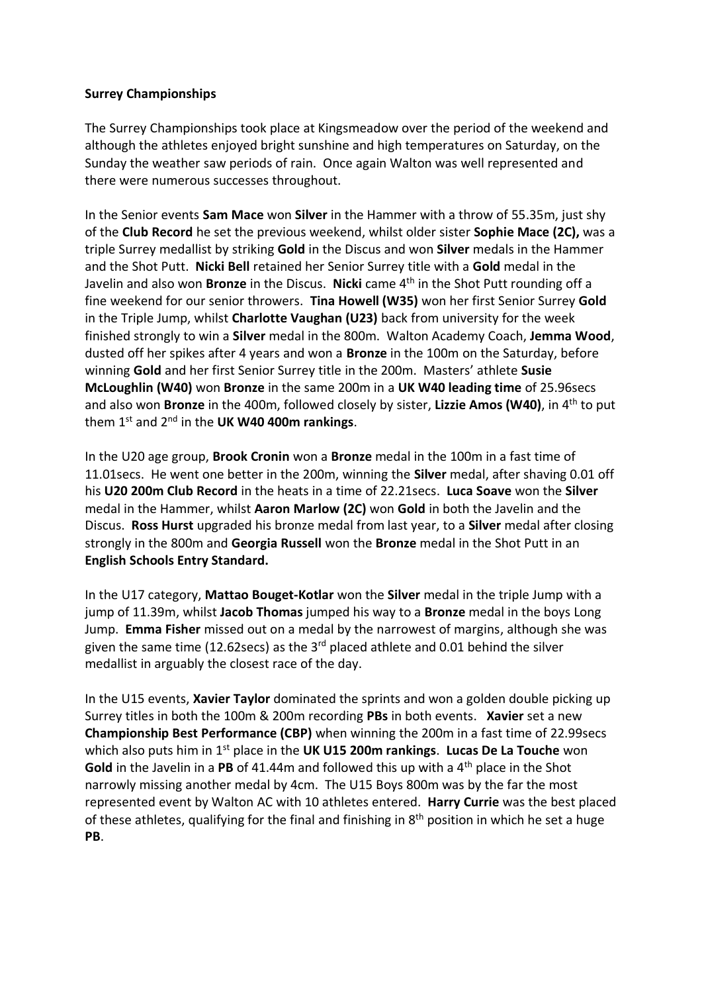## **Surrey Championships**

The Surrey Championships took place at Kingsmeadow over the period of the weekend and although the athletes enjoyed bright sunshine and high temperatures on Saturday, on the Sunday the weather saw periods of rain. Once again Walton was well represented and there were numerous successes throughout.

In the Senior events **Sam Mace** won **Silver** in the Hammer with a throw of 55.35m, just shy of the **Club Record** he set the previous weekend, whilst older sister **Sophie Mace (2C),** was a triple Surrey medallist by striking **Gold** in the Discus and won **Silver** medals in the Hammer and the Shot Putt. **Nicki Bell** retained her Senior Surrey title with a **Gold** medal in the Javelin and also won **Bronze** in the Discus. **Nicki** came 4th in the Shot Putt rounding off a fine weekend for our senior throwers. **Tina Howell (W35)** won her first Senior Surrey **Gold**  in the Triple Jump, whilst **Charlotte Vaughan (U23)** back from university for the week finished strongly to win a **Silver** medal in the 800m. Walton Academy Coach, **Jemma Wood**, dusted off her spikes after 4 years and won a **Bronze** in the 100m on the Saturday, before winning **Gold** and her first Senior Surrey title in the 200m. Masters' athlete **Susie McLoughlin (W40)** won **Bronze** in the same 200m in a **UK W40 leading time** of 25.96secs and also won **Bronze** in the 400m, followed closely by sister, **Lizzie Amos (W40)**, in 4th to put them 1st and 2nd in the **UK W40 400m rankings**.

In the U20 age group, **Brook Cronin** won a **Bronze** medal in the 100m in a fast time of 11.01secs. He went one better in the 200m, winning the **Silver** medal, after shaving 0.01 off his **U20 200m Club Record** in the heats in a time of 22.21secs. **Luca Soave** won the **Silver** medal in the Hammer, whilst **Aaron Marlow (2C)** won **Gold** in both the Javelin and the Discus. **Ross Hurst** upgraded his bronze medal from last year, to a **Silver** medal after closing strongly in the 800m and **Georgia Russell** won the **Bronze** medal in the Shot Putt in an **English Schools Entry Standard.**

In the U17 category, **Mattao Bouget-Kotlar** won the **Silver** medal in the triple Jump with a jump of 11.39m, whilst **Jacob Thomas** jumped his way to a **Bronze** medal in the boys Long Jump. **Emma Fisher** missed out on a medal by the narrowest of margins, although she was given the same time (12.62secs) as the  $3<sup>rd</sup>$  placed athlete and 0.01 behind the silver medallist in arguably the closest race of the day.

In the U15 events, **Xavier Taylor** dominated the sprints and won a golden double picking up Surrey titles in both the 100m & 200m recording **PBs** in both events. **Xavier** set a new **Championship Best Performance (CBP)** when winning the 200m in a fast time of 22.99secs which also puts him in 1st place in the **UK U15 200m rankings**. **Lucas De La Touche** won **Gold** in the Javelin in a **PB** of 41.44m and followed this up with a 4th place in the Shot narrowly missing another medal by 4cm. The U15 Boys 800m was by the far the most represented event by Walton AC with 10 athletes entered. **Harry Currie** was the best placed of these athletes, qualifying for the final and finishing in 8<sup>th</sup> position in which he set a huge **PB**.